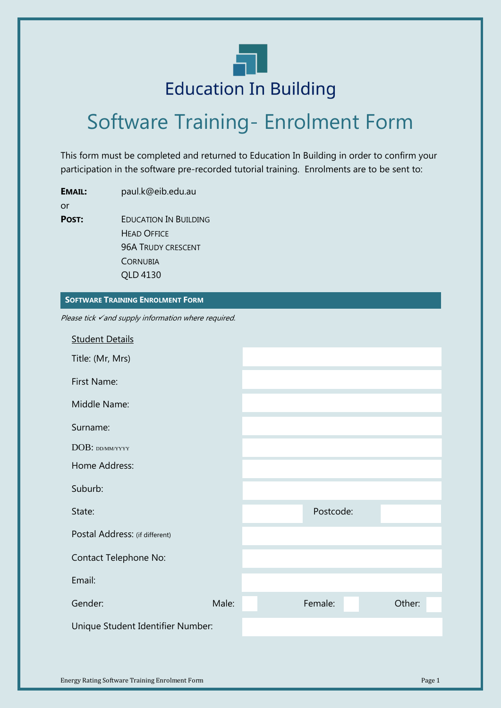

# Software Training- Enrolment Form

This form must be completed and returned to Education In Building in order to confirm your participation in the software pre-recorded tutorial training. Enrolments are to be sent to:

**EMAIL:** paul.k@eib.edu.au or **POST:** EDUCATION IN BUILDING HEAD OFFICE 96A TRUDY CRESCENT **CORNUBIA** 

**SOFTWARE TRAINING ENROLMENT FORM**

QLD 4130

Please tick vand supply information where required.

| <b>Student Details</b>            |       |           |        |
|-----------------------------------|-------|-----------|--------|
| Title: (Mr, Mrs)                  |       |           |        |
| First Name:                       |       |           |        |
| Middle Name:                      |       |           |        |
| Surname:                          |       |           |        |
| DOB: DD/MM/YYYY                   |       |           |        |
| Home Address:                     |       |           |        |
| Suburb:                           |       |           |        |
| State:                            |       | Postcode: |        |
| Postal Address: (if different)    |       |           |        |
| Contact Telephone No:             |       |           |        |
| Email:                            |       |           |        |
| Gender:                           | Male: | Female:   | Other: |
| Unique Student Identifier Number: |       |           |        |
|                                   |       |           |        |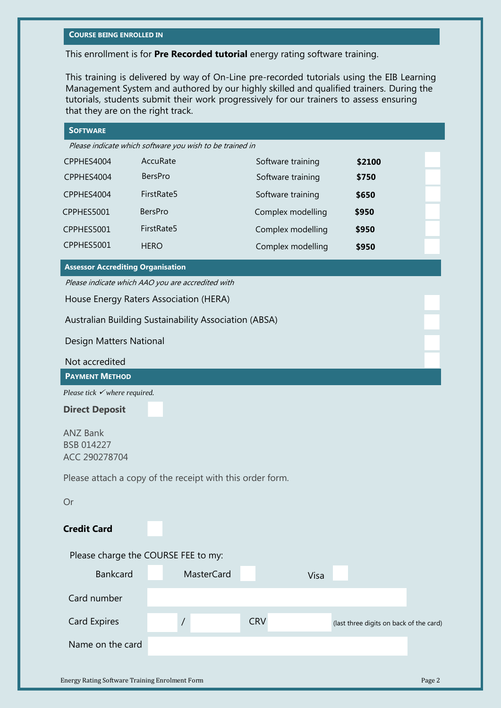#### **COURSE BEING ENROLLED IN**

This enrollment is for **Pre Recorded tutorial** energy rating software training.

This training is delivered by way of On-Line pre-recorded tutorials using the EIB Learning Management System and authored by our highly skilled and qualified trainers. During the tutorials, students submit their work progressively for our trainers to assess ensuring that they are on the right track.

| <b>SOFTWARE</b>                                           |                |                   |                   |      |                                         |  |
|-----------------------------------------------------------|----------------|-------------------|-------------------|------|-----------------------------------------|--|
| Please indicate which software you wish to be trained in  |                |                   |                   |      |                                         |  |
| CPPHES4004                                                | AccuRate       |                   | Software training |      | \$2100                                  |  |
| CPPHES4004                                                | <b>BersPro</b> |                   | Software training |      | \$750                                   |  |
| CPPHES4004                                                | FirstRate5     |                   | Software training |      | \$650                                   |  |
| CPPHES5001                                                | <b>BersPro</b> |                   | Complex modelling |      | \$950                                   |  |
| CPPHES5001                                                | FirstRate5     |                   | Complex modelling |      | \$950                                   |  |
| CPPHES5001                                                | <b>HERO</b>    |                   | Complex modelling |      | \$950                                   |  |
| <b>Assessor Accrediting Organisation</b>                  |                |                   |                   |      |                                         |  |
| Please indicate which AAO you are accredited with         |                |                   |                   |      |                                         |  |
| House Energy Raters Association (HERA)                    |                |                   |                   |      |                                         |  |
| Australian Building Sustainability Association (ABSA)     |                |                   |                   |      |                                         |  |
| Design Matters National                                   |                |                   |                   |      |                                         |  |
| Not accredited                                            |                |                   |                   |      |                                         |  |
| <b>PAYMENT METHOD</b>                                     |                |                   |                   |      |                                         |  |
| Please tick $\checkmark$ where required.                  |                |                   |                   |      |                                         |  |
| <b>Direct Deposit</b>                                     |                |                   |                   |      |                                         |  |
| <b>ANZ Bank</b><br>BSB 014227<br>ACC 290278704            |                |                   |                   |      |                                         |  |
| Please attach a copy of the receipt with this order form. |                |                   |                   |      |                                         |  |
| Or                                                        |                |                   |                   |      |                                         |  |
|                                                           |                |                   |                   |      |                                         |  |
| <b>Credit Card</b>                                        |                |                   |                   |      |                                         |  |
| Please charge the COURSE FEE to my:                       |                |                   |                   |      |                                         |  |
| <b>Bankcard</b>                                           |                | <b>MasterCard</b> |                   | Visa |                                         |  |
| Card number                                               |                |                   |                   |      |                                         |  |
| <b>Card Expires</b>                                       |                | $\overline{1}$    | <b>CRV</b>        |      | (last three digits on back of the card) |  |
|                                                           |                |                   |                   |      |                                         |  |
| Name on the card                                          |                |                   |                   |      |                                         |  |
|                                                           |                |                   |                   |      |                                         |  |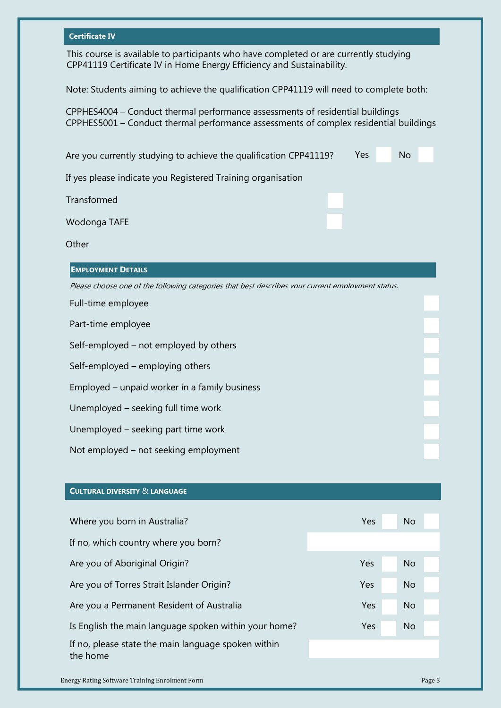### **Certificate IV**

This course is available to participants who have completed or are currently studying CPP41119 Certificate IV in Home Energy Efficiency and Sustainability.

Note: Students aiming to achieve the qualification CPP41119 will need to complete both:

CPPHES4004 – Conduct thermal performance assessments of residential buildings CPPHES5001 – Conduct thermal performance assessments of complex residential buildings

| Yes<br>No<br>Are you currently studying to achieve the qualification CPP41119?                   |  |  |  |  |
|--------------------------------------------------------------------------------------------------|--|--|--|--|
| If yes please indicate you Registered Training organisation                                      |  |  |  |  |
| Transformed                                                                                      |  |  |  |  |
| Wodonga TAFE                                                                                     |  |  |  |  |
| Other                                                                                            |  |  |  |  |
| <b>EMPLOYMENT DETAILS</b>                                                                        |  |  |  |  |
| Please choose one of the following categories that best describes vour current employment status |  |  |  |  |
| Full-time employee                                                                               |  |  |  |  |
| Part-time employee                                                                               |  |  |  |  |
| Self-employed – not employed by others                                                           |  |  |  |  |
| Self-employed – employing others                                                                 |  |  |  |  |
| Employed – unpaid worker in a family business                                                    |  |  |  |  |
| Unemployed - seeking full time work                                                              |  |  |  |  |
| Unemployed - seeking part time work                                                              |  |  |  |  |
| Not employed – not seeking employment                                                            |  |  |  |  |

## **CULTURAL DIVERSITY** & **LANGUAGE**

| Where you born in Australia?                                    | Yes        | <b>No</b> |
|-----------------------------------------------------------------|------------|-----------|
| If no, which country where you born?                            |            |           |
| Are you of Aboriginal Origin?                                   | Yes        | <b>No</b> |
| Are you of Torres Strait Islander Origin?                       | Yes        | <b>No</b> |
| Are you a Permanent Resident of Australia                       | Yes        | <b>No</b> |
| Is English the main language spoken within your home?           | <b>Yes</b> | <b>No</b> |
| If no, please state the main language spoken within<br>the home |            |           |
|                                                                 |            |           |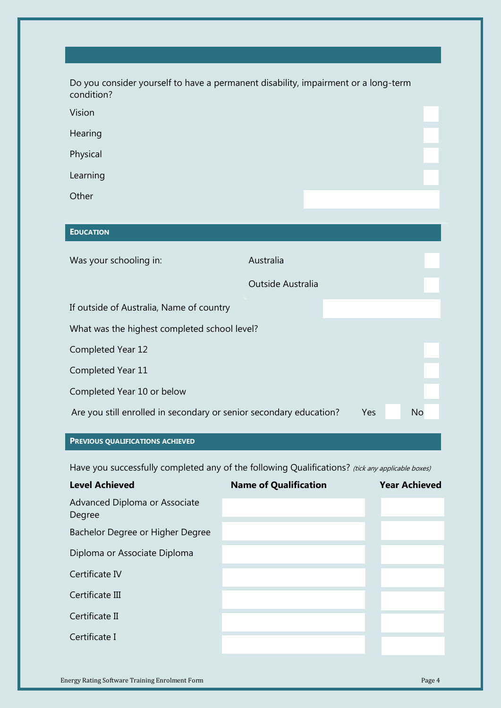| Do you consider yourself to have a permanent disability, impairment or a long-term<br>condition? |                   |  |  |  |
|--------------------------------------------------------------------------------------------------|-------------------|--|--|--|
| Vision                                                                                           |                   |  |  |  |
| Hearing                                                                                          |                   |  |  |  |
| Physical                                                                                         |                   |  |  |  |
| Learning                                                                                         |                   |  |  |  |
| Other                                                                                            |                   |  |  |  |
|                                                                                                  |                   |  |  |  |
| <b>EDUCATION</b>                                                                                 |                   |  |  |  |
| Was your schooling in:                                                                           | Australia         |  |  |  |
|                                                                                                  | Outside Australia |  |  |  |
| If outside of Australia, Name of country                                                         |                   |  |  |  |
| What was the highest completed school level?                                                     |                   |  |  |  |
| Completed Year 12                                                                                |                   |  |  |  |
| Completed Year 11                                                                                |                   |  |  |  |
| Completed Year 10 or below                                                                       |                   |  |  |  |
| Are you still enrolled in secondary or senior secondary education?<br>Yes<br>No                  |                   |  |  |  |
|                                                                                                  |                   |  |  |  |

## **PREVIOUS QUALIFICATIONS ACHIEVED**

Have you successfully completed any of the following Qualifications? (tick any applicable boxes)

| <b>Level Achieved</b>                   | <b>Name of Qualification</b> | <b>Year Achieved</b> |
|-----------------------------------------|------------------------------|----------------------|
| Advanced Diploma or Associate<br>Degree |                              |                      |
| Bachelor Degree or Higher Degree        |                              |                      |
| Diploma or Associate Diploma            |                              |                      |
| Certificate IV                          |                              |                      |
| Certificate III                         |                              |                      |
| Certificate II                          |                              |                      |
| Certificate I                           |                              |                      |